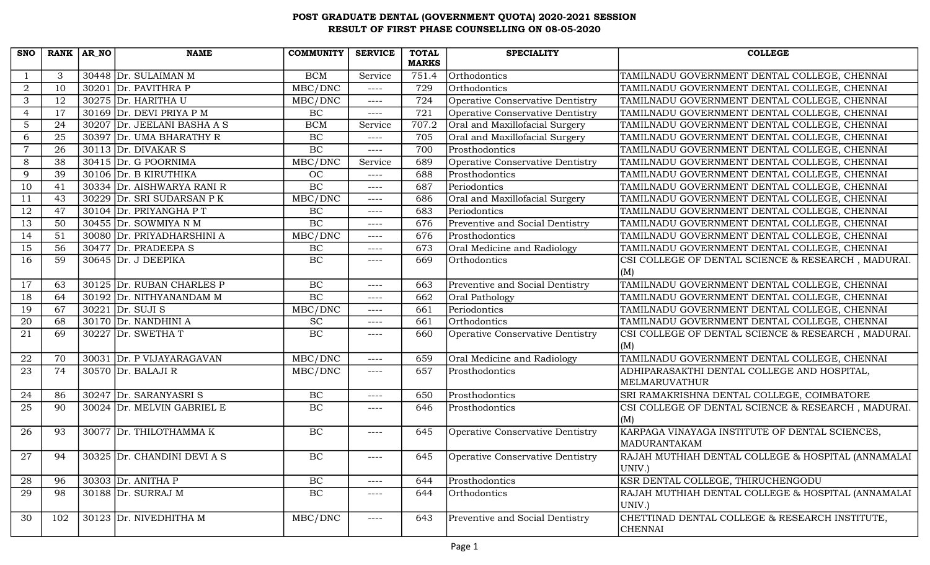| <b>SNO</b>      | RANK   AR_NO    | <b>NAME</b>                 | <b>COMMUNITY</b> | <b>SERVICE</b> | <b>TOTAL</b> | <b>SPECIALITY</b>                | <b>COLLEGE</b>                                     |
|-----------------|-----------------|-----------------------------|------------------|----------------|--------------|----------------------------------|----------------------------------------------------|
|                 |                 |                             |                  |                | <b>MARKS</b> |                                  |                                                    |
|                 | 3               | 30448 Dr. SULAIMAN M        | <b>BCM</b>       | Service        | 751.4        | Orthodontics                     | TAMILNADU GOVERNMENT DENTAL COLLEGE, CHENNAI       |
| $\overline{a}$  | 10              | 30201 Dr. PAVITHRA P        | MBC/DNC          | $---$          | 729          | Orthodontics                     | TAMILNADU GOVERNMENT DENTAL COLLEGE, CHENNAI       |
| 3               | 12              | 30275 Dr. HARITHA U         | MBC/DNC          | $---$          | 724          | Operative Conservative Dentistry | TAMILNADU GOVERNMENT DENTAL COLLEGE, CHENNAI       |
| $\overline{4}$  | 17              | 30169 Dr. DEVI PRIYA P M    | BC               | $--- -$        | 721          | Operative Conservative Dentistry | TAMILNADU GOVERNMENT DENTAL COLLEGE, CHENNAI       |
| $5\phantom{.0}$ | 24              | 30207 Dr. JEELANI BASHA A S | <b>BCM</b>       | Service        | 707.2        | Oral and Maxillofacial Surgery   | TAMILNADU GOVERNMENT DENTAL COLLEGE, CHENNAI       |
| 6               | $\overline{25}$ | 30397 Dr. UMA BHARATHY R    | BC               | $---$          | 705          | Oral and Maxillofacial Surgery   | TAMILNADU GOVERNMENT DENTAL COLLEGE, CHENNAI       |
| $\overline{7}$  | 26              | $30113$ Dr. DIVAKAR S       | BC               | $---$          | 700          | Prosthodontics                   | TAMILNADU GOVERNMENT DENTAL COLLEGE, CHENNAI       |
| 8               | 38              | 30415 Dr. G POORNIMA        | MBC/DNC          | Service        | 689          | Operative Conservative Dentistry | TAMILNADU GOVERNMENT DENTAL COLLEGE, CHENNAI       |
| 9               | 39              | 30106 Dr. B KIRUTHIKA       | OC               | $--- -$        | 688          | Prosthodontics                   | TAMILNADU GOVERNMENT DENTAL COLLEGE, CHENNAI       |
| 10              | 41              | 30334 Dr. AISHWARYA RANI R  | $\overline{BC}$  | $---$          | 687          | Periodontics                     | TAMILNADU GOVERNMENT DENTAL COLLEGE, CHENNAI       |
| 11              | 43              | 30229 Dr. SRI SUDARSAN P K  | MBC/DNC          | $---$          | 686          | Oral and Maxillofacial Surgery   | TAMILNADU GOVERNMENT DENTAL COLLEGE, CHENNAI       |
| 12              | 47              | 30104 Dr. PRIYANGHA P T     | $\rm BC$         | $---$          | 683          | Periodontics                     | TAMILNADU GOVERNMENT DENTAL COLLEGE, CHENNAI       |
| 13              | 50              | 30455 $Dr.$ SOWMIYA N M     | BC               | $--- -$        | 676          | Preventive and Social Dentistry  | TAMILNADU GOVERNMENT DENTAL COLLEGE, CHENNAI       |
| 14              | 51              | 30080 Dr. PRIYADHARSHINI A  | MBC/DNC          | $--- -$        | 676          | Prosthodontics                   | TAMILNADU GOVERNMENT DENTAL COLLEGE, CHENNAI       |
| 15              | 56              | 30477 Dr. PRADEEPA S        | $\rm BC$         | $--- -$        | 673          | Oral Medicine and Radiology      | TAMILNADU GOVERNMENT DENTAL COLLEGE, CHENNAI       |
| 16              | 59              | $30645$ Dr. J DEEPIKA       | BC               | $---$          | 669          | Orthodontics                     | CSI COLLEGE OF DENTAL SCIENCE & RESEARCH, MADURAI. |
|                 |                 |                             |                  |                |              |                                  | (M)                                                |
| 17              | 63              | 30125 Dr. RUBAN CHARLES P   | BC               | $---$          | 663          | Preventive and Social Dentistry  | TAMILNADU GOVERNMENT DENTAL COLLEGE, CHENNAI       |
| 18              | 64              | 30192 Dr. NITHYANANDAM M    | BC               | $---$          | 662          | Oral Pathology                   | TAMILNADU GOVERNMENT DENTAL COLLEGE, CHENNAI       |
| 19              | 67              | $30221$ Dr. SUJI S          | MBC/DNC          | $---$          | 661          | Periodontics                     | TAMILNADU GOVERNMENT DENTAL COLLEGE, CHENNAI       |
| 20              | 68              | $30170$ Dr. NANDHINI A      | $\overline{SC}$  | $---$          | 661          | Orthodontics                     | TAMILNADU GOVERNMENT DENTAL COLLEGE, CHENNAI       |
| 21              | 69              | 30227 Dr. SWETHAT           | BC               | $--- -$        | 660          | Operative Conservative Dentistry | CSI COLLEGE OF DENTAL SCIENCE & RESEARCH, MADURAI. |
|                 |                 |                             |                  |                |              |                                  | (M)                                                |
| 22              | 70              | 30031 Dr. P VIJAYARAGAVAN   | MBC/DNC          | $---$          | 659          | Oral Medicine and Radiology      | TAMILNADU GOVERNMENT DENTAL COLLEGE, CHENNAI       |
| 23              | 74              | 30570 Dr. BALAJI R          | MBC/DNC          | $---$          | 657          | Prosthodontics                   | ADHIPARASAKTHI DENTAL COLLEGE AND HOSPITAL,        |
|                 |                 |                             |                  |                |              |                                  | MELMARUVATHUR                                      |
| 24              | 86              | 30247 Dr. SARANYASRIS       | BC               | $---$          | 650          | Prosthodontics                   | SRI RAMAKRISHNA DENTAL COLLEGE, COIMBATORE         |
| 25              | 90              | 30024 Dr. MELVIN GABRIEL E  | $\rm BC$         | $---$          | 646          | Prosthodontics                   | CSI COLLEGE OF DENTAL SCIENCE & RESEARCH, MADURAI. |
|                 |                 |                             |                  |                |              |                                  | (M)                                                |
| 26              | 93              | 30077 Dr. THILOTHAMMA K     | BC               | ----           | 645          | Operative Conservative Dentistry | KARPAGA VINAYAGA INSTITUTE OF DENTAL SCIENCES,     |
|                 |                 |                             |                  |                |              |                                  | MADURANTAKAM                                       |
| 27              | 94              | 30325 Dr. CHANDINI DEVI A S | $\rm BC$         | $---$          | 645          | Operative Conservative Dentistry | RAJAH MUTHIAH DENTAL COLLEGE & HOSPITAL (ANNAMALAI |
|                 |                 |                             |                  |                |              |                                  | UNIV.)                                             |
| 28              | 96              | 30303 Dr. ANITHA P          | BC               | ----           | 644          | Prosthodontics                   | KSR DENTAL COLLEGE, THIRUCHENGODU                  |
| 29              | 98              | 30188 Dr. SURRAJ M          | BC               | $--- -$        | 644          | Orthodontics                     | RAJAH MUTHIAH DENTAL COLLEGE & HOSPITAL (ANNAMALAI |
|                 |                 |                             |                  |                |              |                                  | UNIV.)                                             |
| 30              | 102             | 30123 Dr. NIVEDHITHA M      | MBC/DNC          | $---$          | 643          | Preventive and Social Dentistry  | CHETTINAD DENTAL COLLEGE & RESEARCH INSTITUTE,     |
|                 |                 |                             |                  |                |              |                                  | <b>CHENNAI</b>                                     |
|                 |                 |                             |                  |                |              |                                  |                                                    |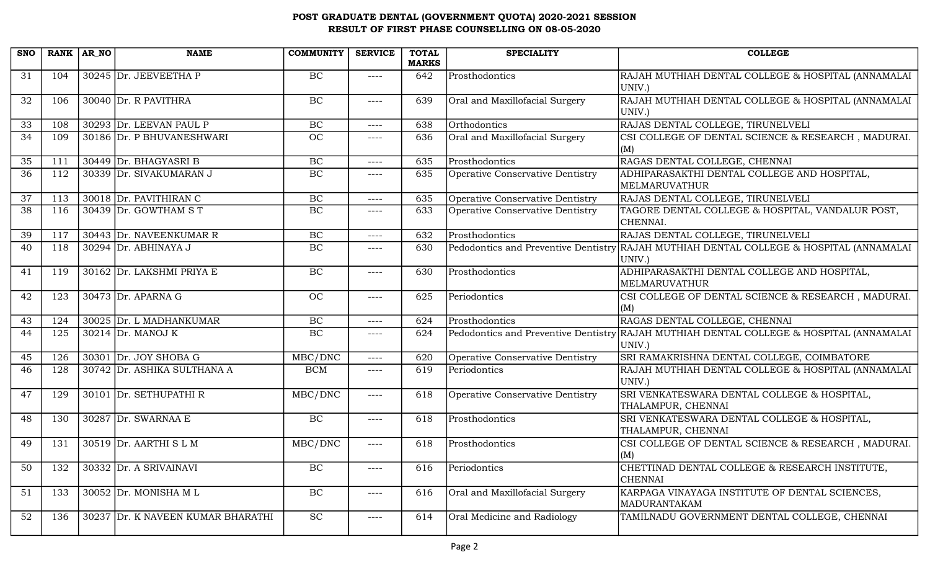| <b>SNO</b> |     | RANK AR NO | <b>NAME</b>                       | <b>COMMUNITY</b> | <b>SERVICE</b> | <b>TOTAL</b><br><b>MARKS</b> | <b>SPECIALITY</b>                | <b>COLLEGE</b>                                                                                    |
|------------|-----|------------|-----------------------------------|------------------|----------------|------------------------------|----------------------------------|---------------------------------------------------------------------------------------------------|
| 31         | 104 |            | 30245 Dr. JEEVEETHA P             | BC               | $--- -$        | 642                          | Prosthodontics                   | RAJAH MUTHIAH DENTAL COLLEGE & HOSPITAL (ANNAMALAI<br>UNIV.)                                      |
| 32         | 106 |            | 30040 Dr. R PAVITHRA              | BC               | $---$          | 639                          | Oral and Maxillofacial Surgery   | RAJAH MUTHIAH DENTAL COLLEGE & HOSPITAL (ANNAMALAI<br>UNIV.)                                      |
| 33         | 108 |            | 30293 Dr. LEEVAN PAUL P           | $\rm BC$         | $--- -$        | 638                          | Orthodontics                     | RAJAS DENTAL COLLEGE, TIRUNELVELI                                                                 |
| 34         | 109 |            | 30186 Dr. P BHUVANESHWARI         | OC               | $- - - -$      | 636                          | Oral and Maxillofacial Surgery   | CSI COLLEGE OF DENTAL SCIENCE & RESEARCH, MADURAI.<br>(M)                                         |
| 35         | 111 |            | 30449 Dr. BHAGYASRI B             | BC               | $--- -$        | 635                          | Prosthodontics                   | RAGAS DENTAL COLLEGE, CHENNAI                                                                     |
| 36         | 112 |            | 30339 Dr. SIVAKUMARAN J           | BC               | $- - - -$      | 635                          | Operative Conservative Dentistry | ADHIPARASAKTHI DENTAL COLLEGE AND HOSPITAL,<br><b>MELMARUVATHUR</b>                               |
| 37         | 113 |            | 30018 Dr. PAVITHIRAN C            | $\rm BC$         | $---$          | 635                          | Operative Conservative Dentistry | RAJAS DENTAL COLLEGE, TIRUNELVELI                                                                 |
| 38         | 116 |            | 30439 Dr. GOWTHAM ST              | BC               | $---$          | 633                          | Operative Conservative Dentistry | TAGORE DENTAL COLLEGE & HOSPITAL, VANDALUR POST,<br>CHENNAI.                                      |
| 39         | 117 |            | 30443 Dr. NAVEENKUMAR R           | BC               | $--- -$        | 632                          | Prosthodontics                   | RAJAS DENTAL COLLEGE, TIRUNELVELI                                                                 |
| 40         | 118 |            | 30294 Dr. ABHINAYA J              | BC               | $--- -$        | 630                          |                                  | Pedodontics and Preventive Dentistry RAJAH MUTHIAH DENTAL COLLEGE & HOSPITAL (ANNAMALAI<br>UNIV.) |
| 41         | 119 |            | 30162 Dr. LAKSHMI PRIYA E         | BC               | $--- -$        | 630                          | Prosthodontics                   | ADHIPARASAKTHI DENTAL COLLEGE AND HOSPITAL,<br><b>MELMARUVATHUR</b>                               |
| 42         | 123 |            | 30473 Dr. APARNA G                | OC               | $--- -$        | 625                          | Periodontics                     | CSI COLLEGE OF DENTAL SCIENCE & RESEARCH, MADURAI.<br>(M)                                         |
| 43         | 124 |            | 30025 Dr. L MADHANKUMAR           | <b>BC</b>        | $--- -$        | 624                          | Prosthodontics                   | RAGAS DENTAL COLLEGE, CHENNAI                                                                     |
| 44         | 125 |            | $30214$ Dr. MANOJ K               | BC               | $---$          | 624                          |                                  | Pedodontics and Preventive Dentistry RAJAH MUTHIAH DENTAL COLLEGE & HOSPITAL (ANNAMALAI<br>UNIV.) |
| 45         | 126 |            | 30301 Dr. JOY SHOBA G             | MBC/DNC          | $--- -$        | 620                          | Operative Conservative Dentistry | SRI RAMAKRISHNA DENTAL COLLEGE, COIMBATORE                                                        |
| 46         | 128 |            | 30742 Dr. ASHIKA SULTHANA A       | <b>BCM</b>       | $---$          | 619                          | Periodontics                     | RAJAH MUTHIAH DENTAL COLLEGE & HOSPITAL (ANNAMALAI<br>UNIV.)                                      |
| 47         | 129 |            | 30101 Dr. SETHUPATHI R            | MBC/DNC          | $--- -$        | 618                          | Operative Conservative Dentistry | SRI VENKATESWARA DENTAL COLLEGE & HOSPITAL,<br>THALAMPUR, CHENNAI                                 |
| 48         | 130 |            | 30287 Dr. SWARNAA E               | BC               | $--- -$        | 618                          | Prosthodontics                   | SRI VENKATESWARA DENTAL COLLEGE & HOSPITAL,<br>THALAMPUR, CHENNAI                                 |
| 49         | 131 |            | 30519 Dr. AARTHI S L M            | MBC/DNC          | $--- -$        | 618                          | Prosthodontics                   | CSI COLLEGE OF DENTAL SCIENCE & RESEARCH, MADURAI.<br>(M)                                         |
| 50         | 132 |            | 30332 Dr. A SRIVAINAVI            | $\rm BC$         | $---$          | 616                          | Periodontics                     | CHETTINAD DENTAL COLLEGE & RESEARCH INSTITUTE,<br><b>CHENNAI</b>                                  |
| 51         | 133 |            | $30052$ Dr. MONISHA M L           | BC               | $---$          | 616                          | Oral and Maxillofacial Surgery   | KARPAGA VINAYAGA INSTITUTE OF DENTAL SCIENCES,<br>MADURANTAKAM                                    |
| 52         | 136 |            | 30237 Dr. K NAVEEN KUMAR BHARATHI | SC               | $---$          | 614                          | Oral Medicine and Radiology      | TAMILNADU GOVERNMENT DENTAL COLLEGE, CHENNAI                                                      |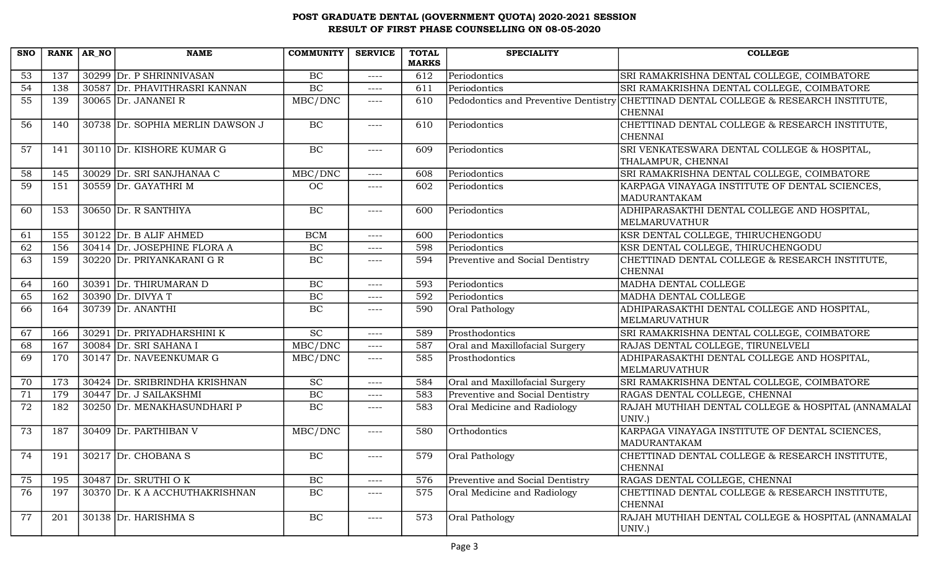| <b>SNO</b>      | RANK AR NO | <b>NAME</b>                      | <b>COMMUNITY</b> | <b>SERVICE</b> | <b>TOTAL</b> | <b>SPECIALITY</b>               | <b>COLLEGE</b>                                                                      |
|-----------------|------------|----------------------------------|------------------|----------------|--------------|---------------------------------|-------------------------------------------------------------------------------------|
|                 |            |                                  |                  |                | <b>MARKS</b> |                                 |                                                                                     |
| 53              | 137        | 30299 Dr. P SHRINNIVASAN         | BC               | $---$          | 612          | Periodontics                    | SRI RAMAKRISHNA DENTAL COLLEGE, COIMBATORE                                          |
| $\overline{54}$ | 138        | 30587 Dr. PHAVITHRASRI KANNAN    | BC               | $--- -$        | 611          | Periodontics                    | SRI RAMAKRISHNA DENTAL COLLEGE, COIMBATORE                                          |
| $\overline{55}$ | 139        | 30065 Dr. JANANEI R              | MBC/DNC          | $--- -$        | 610          |                                 | Pedodontics and Preventive Dentistry CHETTINAD DENTAL COLLEGE & RESEARCH INSTITUTE, |
|                 |            |                                  |                  |                |              |                                 | <b>CHENNAI</b>                                                                      |
| 56              | 140        | 30738 Dr. SOPHIA MERLIN DAWSON J | BC               | $--- -$        | 610          | Periodontics                    | CHETTINAD DENTAL COLLEGE & RESEARCH INSTITUTE,                                      |
|                 |            |                                  |                  |                |              |                                 | <b>CHENNAI</b>                                                                      |
| 57              | 141        | 30110 Dr. KISHORE KUMAR G        | BC               | $--- -$        | 609          | Periodontics                    | SRI VENKATESWARA DENTAL COLLEGE & HOSPITAL,                                         |
|                 |            |                                  |                  |                |              |                                 | THALAMPUR, CHENNAI                                                                  |
| 58              | 145        | 30029 Dr. SRI SANJHANAA C        | MBC/DNC          | $---$          | 608          | Periodontics                    | SRI RAMAKRISHNA DENTAL COLLEGE, COIMBATORE                                          |
| $\overline{59}$ | 151        | 30559 Dr. GAYATHRI M             | <b>OC</b>        | $---$          | 602          | Periodontics                    | KARPAGA VINAYAGA INSTITUTE OF DENTAL SCIENCES,                                      |
|                 |            |                                  |                  |                |              |                                 | MADURANTAKAM                                                                        |
| 60              | 153        | 30650 Dr. R SANTHIYA             | BC               | $--- -$        | 600          | Periodontics                    | ADHIPARASAKTHI DENTAL COLLEGE AND HOSPITAL,                                         |
|                 |            |                                  |                  |                |              |                                 | <b>MELMARUVATHUR</b>                                                                |
| 61              | 155        | $30122$ Dr. B ALIF AHMED         | <b>BCM</b>       | $--- -$        | 600          | Periodontics                    | KSR DENTAL COLLEGE, THIRUCHENGODU                                                   |
| 62              | 156        | 30414 Dr. JOSEPHINE FLORA A      | BC               | $---$          | 598          | Periodontics                    | KSR DENTAL COLLEGE, THIRUCHENGODU                                                   |
| 63              | 159        | 30220 Dr. PRIYANKARANI G R       | <b>BC</b>        | $---$          | 594          | Preventive and Social Dentistry | CHETTINAD DENTAL COLLEGE & RESEARCH INSTITUTE,                                      |
|                 |            |                                  |                  |                |              |                                 | <b>CHENNAI</b>                                                                      |
| 64              | 160        | 30391 Dr. THIRUMARAN D           | BC               | $--- -$        | 593          | Periodontics                    | MADHA DENTAL COLLEGE                                                                |
| 65              | 162        | 30390 Dr. DIVYA T                | BC               | $--- -$        | 592          | Periodontics                    | MADHA DENTAL COLLEGE                                                                |
| 66              | 164        | 30739 Dr. ANANTHI                | BC               | $--- -$        | 590          | Oral Pathology                  | ADHIPARASAKTHI DENTAL COLLEGE AND HOSPITAL,                                         |
|                 |            |                                  |                  |                |              |                                 | <b>MELMARUVATHUR</b>                                                                |
| 67              | 166        | 30291 Dr. PRIYADHARSHINI K       | $\overline{SC}$  | $--- -$        | 589          | Prosthodontics                  | SRI RAMAKRISHNA DENTAL COLLEGE, COIMBATORE                                          |
| 68              | 167        | 30084 Dr. SRI SAHANA I           | MBC/DNC          | $---$          | 587          | Oral and Maxillofacial Surgery  | RAJAS DENTAL COLLEGE, TIRUNELVELI                                                   |
| 69              | 170        | 30147 Dr. NAVEENKUMAR G          | MBC/DNC          | $---$          | 585          | Prosthodontics                  | ADHIPARASAKTHI DENTAL COLLEGE AND HOSPITAL,                                         |
|                 |            |                                  |                  |                |              |                                 | <b>MELMARUVATHUR</b>                                                                |
| 70              | 173        | 30424 Dr. SRIBRINDHA KRISHNAN    | SC               | $---$          | 584          | Oral and Maxillofacial Surgery  | SRI RAMAKRISHNA DENTAL COLLEGE, COIMBATORE                                          |
| 71              | 179        | 30447 Dr. J SAILAKSHMI           | BC               | $--- -$        | 583          | Preventive and Social Dentistry | RAGAS DENTAL COLLEGE, CHENNAI                                                       |
| 72              | 182        | 30250 Dr. MENAKHASUNDHARI P      | BC               | $---$          | 583          | Oral Medicine and Radiology     | RAJAH MUTHIAH DENTAL COLLEGE & HOSPITAL (ANNAMALAI                                  |
|                 |            |                                  |                  |                |              |                                 | UNIV.)                                                                              |
| 73              | 187        | 30409 Dr. PARTHIBAN V            | MBC/DNC          | $---$          | 580          | Orthodontics                    | KARPAGA VINAYAGA INSTITUTE OF DENTAL SCIENCES,                                      |
|                 |            |                                  |                  |                |              |                                 | MADURANTAKAM                                                                        |
| 74              | 191        | $30217$ Dr. CHOBANA S            | BC               | $---$          | 579          | Oral Pathology                  | CHETTINAD DENTAL COLLEGE & RESEARCH INSTITUTE,                                      |
|                 |            |                                  |                  |                |              |                                 | <b>CHENNAI</b>                                                                      |
| 75              | 195        | 30487 Dr. SRUTHI OK              | BC               | $--- -$        | 576          | Preventive and Social Dentistry | RAGAS DENTAL COLLEGE, CHENNAI                                                       |
| 76              | 197        | 30370 Dr. K A ACCHUTHAKRISHNAN   | BC               | $---$          | 575          | Oral Medicine and Radiology     | CHETTINAD DENTAL COLLEGE & RESEARCH INSTITUTE,                                      |
|                 |            |                                  |                  |                |              |                                 | <b>CHENNAI</b>                                                                      |
| 77              | 201        | $30138$ Dr. HARISHMA S           | $\rm BC$         | $--- -$        | 573          | Oral Pathology                  | RAJAH MUTHIAH DENTAL COLLEGE & HOSPITAL (ANNAMALAI                                  |
|                 |            |                                  |                  |                |              |                                 | UNIV.)                                                                              |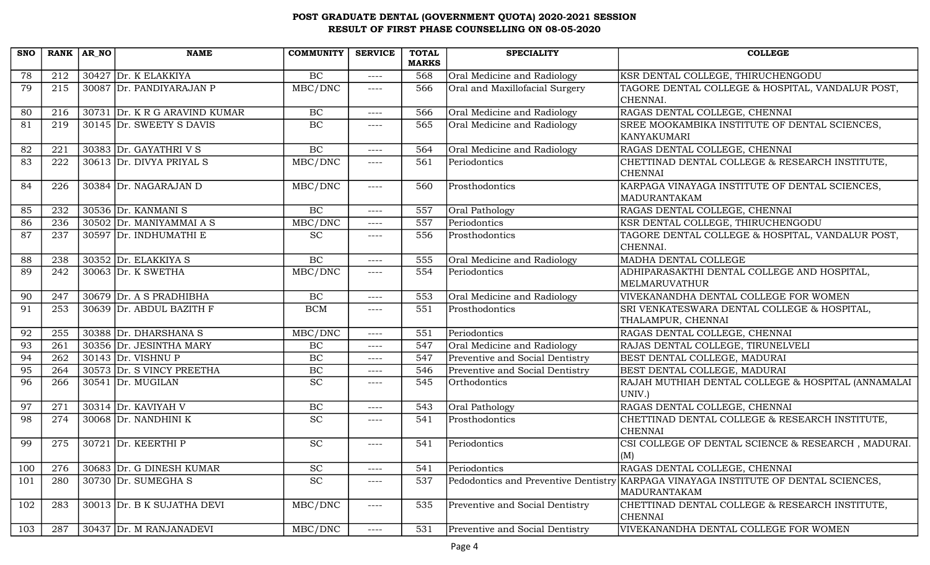| <b>SNO</b> |     | RANK $AR_N$ | <b>NAME</b>                   | <b>COMMUNITY</b>      | <b>SERVICE</b> | <b>TOTAL</b><br><b>MARKS</b> | <b>SPECIALITY</b>                    | <b>COLLEGE</b>                                               |
|------------|-----|-------------|-------------------------------|-----------------------|----------------|------------------------------|--------------------------------------|--------------------------------------------------------------|
| 78         | 212 |             | $30427$ Dr. K ELAKKIYA        | BC                    | $--- -$        | 568                          | Oral Medicine and Radiology          | KSR DENTAL COLLEGE, THIRUCHENGODU                            |
| 79         | 215 |             | 30087 Dr. PANDIYARAJAN P      | MBC/DNC               | ----           | 566                          | Oral and Maxillofacial Surgery       | TAGORE DENTAL COLLEGE & HOSPITAL, VANDALUR POST,             |
|            |     |             |                               |                       |                |                              |                                      | CHENNAI.                                                     |
| 80         | 216 |             | 30731 Dr. K R G ARAVIND KUMAR | BC                    | ----           | 566                          | Oral Medicine and Radiology          | RAGAS DENTAL COLLEGE, CHENNAI                                |
| 81         | 219 |             | 30145 Dr. SWEETY S DAVIS      | BC                    | ----           | 565                          | Oral Medicine and Radiology          | SREE MOOKAMBIKA INSTITUTE OF DENTAL SCIENCES,                |
|            |     |             |                               |                       |                |                              |                                      | KANYAKUMARI                                                  |
| 82         | 221 |             | 30383 Dr. GAYATHRI V S        | BC                    | $--- -$        | 564                          | Oral Medicine and Radiology          | RAGAS DENTAL COLLEGE, CHENNAI                                |
| 83         | 222 |             | 30613 Dr. DIVYA PRIYAL S      | MBC/DNC               | ----           | 561                          | Periodontics                         | CHETTINAD DENTAL COLLEGE & RESEARCH INSTITUTE,               |
|            |     |             |                               |                       |                |                              |                                      | <b>CHENNAI</b>                                               |
| 84         | 226 |             | 30384 Dr. NAGARAJAN D         | MBC/DNC               | $---$          | 560                          | Prosthodontics                       | KARPAGA VINAYAGA INSTITUTE OF DENTAL SCIENCES,               |
|            |     |             |                               |                       |                |                              |                                      | MADURANTAKAM                                                 |
| 85         | 232 |             | 30536 Dr. KANMANI S           | BC                    | $--- -$        | 557                          | Oral Pathology                       | RAGAS DENTAL COLLEGE, CHENNAI                                |
| 86         | 236 |             | 30502 Dr. MANIYAMMAI A S      | MBC/DNC               | ----           | 557                          | Periodontics                         | KSR DENTAL COLLEGE, THIRUCHENGODU                            |
| 87         | 237 |             | 30597 Dr. INDHUMATHI E        | <b>SC</b>             | $---$          | 556                          | Prosthodontics                       | TAGORE DENTAL COLLEGE & HOSPITAL, VANDALUR POST,             |
|            |     |             |                               |                       |                |                              |                                      | CHENNAI.                                                     |
| 88         | 238 |             | 30352 $Dr. ELAKKIYA S$        | BC                    | $---$          | 555                          | Oral Medicine and Radiology          | MADHA DENTAL COLLEGE                                         |
| 89         | 242 |             | 30063 Dr. K SWETHA            | MBC/DNC               | ----           | 554                          | Periodontics                         | ADHIPARASAKTHI DENTAL COLLEGE AND HOSPITAL,                  |
|            |     |             |                               |                       |                |                              |                                      | MELMARUVATHUR                                                |
| 90         | 247 |             | 30679 Dr. A S PRADHIBHA       | BC                    | $---$          | 553                          | Oral Medicine and Radiology          | VIVEKANANDHA DENTAL COLLEGE FOR WOMEN                        |
| 91         | 253 |             | 30639 Dr. ABDUL BAZITH F      | <b>BCM</b>            | ----           | 551                          | Prosthodontics                       | SRI VENKATESWARA DENTAL COLLEGE & HOSPITAL,                  |
|            |     |             |                               |                       |                |                              |                                      | THALAMPUR, CHENNAI                                           |
| 92         | 255 |             | 30388 Dr. DHARSHANA S         | MBC/DNC               | ----           | 551                          | Periodontics                         | RAGAS DENTAL COLLEGE, CHENNAI                                |
| 93         | 261 |             | 30356 Dr. JESINTHA MARY       | BC                    | ----           | 547                          | Oral Medicine and Radiology          | RAJAS DENTAL COLLEGE, TIRUNELVELI                            |
| 94         | 262 |             | $30143$ Dr. VISHNU P          | BC                    | $---$          | 547                          | Preventive and Social Dentistry      | BEST DENTAL COLLEGE, MADURAI                                 |
| 95         | 264 |             | 30573 Dr. S VINCY PREETHA     | BC<br>$\overline{SC}$ | ----           | 546                          | Preventive and Social Dentistry      | BEST DENTAL COLLEGE, MADURAI                                 |
| 96         | 266 |             | $30541$ Dr. MUGILAN           |                       | ----           | 545                          | Orthodontics                         | RAJAH MUTHIAH DENTAL COLLEGE & HOSPITAL (ANNAMALAI<br>UNIV.) |
| 97         | 271 |             | $30314$ Dr. KAVIYAH V         | BC                    | ----           | 543                          | Oral Pathology                       | RAGAS DENTAL COLLEGE, CHENNAI                                |
| 98         | 274 |             | 30068 Dr. NANDHINI K          | <b>SC</b>             | ----           | 541                          | Prosthodontics                       | CHETTINAD DENTAL COLLEGE & RESEARCH INSTITUTE,               |
|            |     |             |                               |                       |                |                              |                                      | <b>CHENNAI</b>                                               |
| 99         | 275 |             | $30721$ Dr. KEERTHI P         | <b>SC</b>             | ----           | 541                          | Periodontics                         | CSI COLLEGE OF DENTAL SCIENCE & RESEARCH, MADURAI.           |
|            |     |             |                               |                       |                |                              |                                      | (M)                                                          |
| 100        | 276 |             | 30683 Dr. G DINESH KUMAR      | SC                    | $---$          | 541                          | Periodontics                         | RAGAS DENTAL COLLEGE, CHENNAI                                |
| 101        | 280 |             | 30730 $Dr.$ SUMEGHA S         | <b>SC</b>             | ----           | 537                          | Pedodontics and Preventive Dentistry | KARPAGA VINAYAGA INSTITUTE OF DENTAL SCIENCES,               |
|            |     |             |                               |                       |                |                              |                                      | MADURANTAKAM                                                 |
| 102        | 283 |             | 30013 Dr. B K SUJATHA DEVI    | MBC/DNC               | $---$          | 535                          | Preventive and Social Dentistry      | CHETTINAD DENTAL COLLEGE & RESEARCH INSTITUTE,               |
|            |     |             |                               |                       |                |                              |                                      | <b>CHENNAI</b>                                               |
| 103        | 287 |             | 30437 Dr. M RANJANADEVI       | MBC/DNC               | $---$          | 531                          | Preventive and Social Dentistry      | VIVEKANANDHA DENTAL COLLEGE FOR WOMEN                        |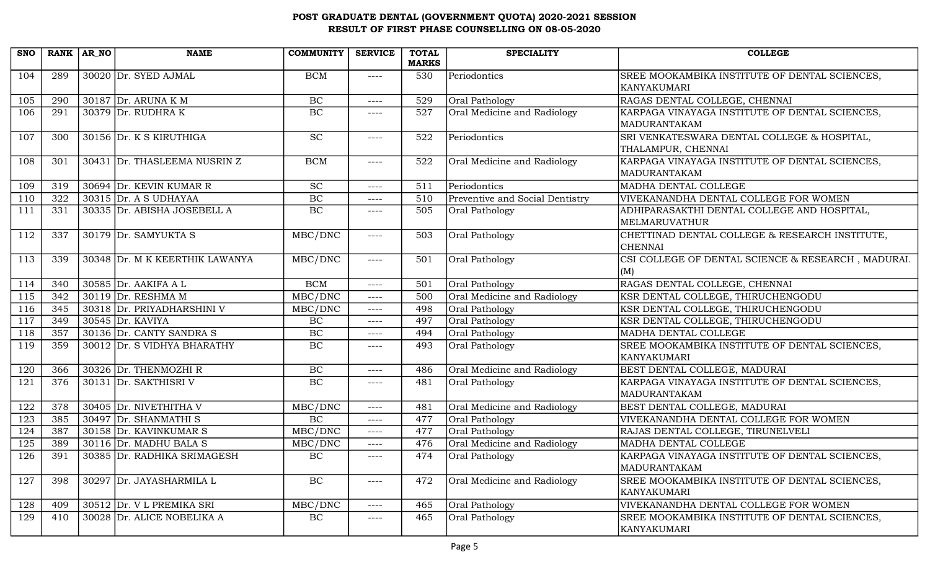| <b>SNO</b> | <b>RANK</b> | AR_NO | <b>NAME</b>                    | <b>COMMUNITY</b> | <b>SERVICE</b> | <b>TOTAL</b> | <b>SPECIALITY</b>               | <b>COLLEGE</b>                                                 |
|------------|-------------|-------|--------------------------------|------------------|----------------|--------------|---------------------------------|----------------------------------------------------------------|
|            |             |       |                                |                  |                | <b>MARKS</b> |                                 |                                                                |
| 104        | 289         |       | 30020 Dr. SYED AJMAL           | <b>BCM</b>       | $--- -$        | 530          | Periodontics                    | SREE MOOKAMBIKA INSTITUTE OF DENTAL SCIENCES,<br>KANYAKUMARI   |
| 105        | 290         |       | 30187 Dr. ARUNA K M            | <b>BC</b>        | ----           | 529          | Oral Pathology                  | RAGAS DENTAL COLLEGE, CHENNAI                                  |
| 106        | 291         |       | 30379 Dr. RUDHRA K             | <b>BC</b>        | $--- -$        | 527          | Oral Medicine and Radiology     | KARPAGA VINAYAGA INSTITUTE OF DENTAL SCIENCES,                 |
|            |             |       |                                |                  |                |              |                                 | MADURANTAKAM                                                   |
| 107        | 300         |       | 30156 Dr. K S KIRUTHIGA        | <b>SC</b>        | $--- - -$      | 522          | Periodontics                    | SRI VENKATESWARA DENTAL COLLEGE & HOSPITAL,                    |
|            |             |       |                                | <b>BCM</b>       |                |              |                                 | THALAMPUR, CHENNAI                                             |
| 108        | 301         |       | 30431 Dr. THASLEEMA NUSRIN Z   |                  | $--- - -$      | 522          | Oral Medicine and Radiology     | KARPAGA VINAYAGA INSTITUTE OF DENTAL SCIENCES,<br>MADURANTAKAM |
| 109        | 319         |       | 30694 Dr. KEVIN KUMAR R        | SC               | $--- -$        | 511          | Periodontics                    | MADHA DENTAL COLLEGE                                           |
| 110        | 322         |       | $30315$ Dr. A S UDHAYAA        | BC               | $--- -$        | 510          | Preventive and Social Dentistry | VIVEKANANDHA DENTAL COLLEGE FOR WOMEN                          |
| 111        | 331         |       | 30335 Dr. ABISHA JOSEBELL A    | BC               | ----           | 505          | Oral Pathology                  | ADHIPARASAKTHI DENTAL COLLEGE AND HOSPITAL,<br>MELMARUVATHUR   |
| 112        | 337         |       | $30179$ Dr. SAMYUKTA S         | MBC/DNC          | ----           | 503          | Oral Pathology                  | CHETTINAD DENTAL COLLEGE & RESEARCH INSTITUTE,                 |
|            |             |       |                                |                  |                |              |                                 | <b>CHENNAI</b>                                                 |
| 113        | 339         |       | 30348 Dr. M K KEERTHIK LAWANYA | MBC/DNC          | $--- -$        | 501          | Oral Pathology                  | CSI COLLEGE OF DENTAL SCIENCE & RESEARCH, MADURAI.             |
|            |             |       |                                |                  |                |              |                                 | (M)                                                            |
| 114        | 340         |       | 30585 Dr. AAKIFA A L           | <b>BCM</b>       | $--- -$        | 501          | Oral Pathology                  | RAGAS DENTAL COLLEGE, CHENNAI                                  |
| 115        | 342         |       | $30119$ Dr. RESHMA M           | MBC/DNC          | $---$          | 500          | Oral Medicine and Radiology     | KSR DENTAL COLLEGE, THIRUCHENGODU                              |
| 116        | 345         |       | 30318 Dr. PRIYADHARSHINI V     | MBC/DNC          | $--- -$        | 498          | Oral Pathology                  | KSR DENTAL COLLEGE, THIRUCHENGODU                              |
| 117        | 349         |       | $30545$ Dr. KAVIYA             | BC               | $---$          | 497          | Oral Pathology                  | KSR DENTAL COLLEGE, THIRUCHENGODU                              |
| 118        | 357         |       | 30136 Dr. CANTY SANDRA S       | BC               | ----           | 494          | Oral Pathology                  | MADHA DENTAL COLLEGE                                           |
| 119        | 359         |       | 30012 Dr. S VIDHYA BHARATHY    | BC               | $--- -$        | 493          | Oral Pathology                  | SREE MOOKAMBIKA INSTITUTE OF DENTAL SCIENCES,<br>KANYAKUMARI   |
| 120        | 366         |       | 30326 Dr. THENMOZHI R          | BC               | $--- -$        | 486          | Oral Medicine and Radiology     | BEST DENTAL COLLEGE, MADURAI                                   |
| 121        | 376         |       | 30131 Dr. SAKTHISRI V          | BC               | ----           | 481          | Oral Pathology                  | KARPAGA VINAYAGA INSTITUTE OF DENTAL SCIENCES,                 |
|            |             |       |                                |                  |                |              |                                 | MADURANTAKAM                                                   |
| 122        | 378         |       | 30405 Dr. NIVETHITHA V         | MBC/DNC          | $--- -$        | 481          | Oral Medicine and Radiology     | BEST DENTAL COLLEGE, MADURAI                                   |
| 123        | 385         |       | 30497 Dr. SHANMATHI S          | BC               | $--- -$        | 477          | Oral Pathology                  | VIVEKANANDHA DENTAL COLLEGE FOR WOMEN                          |
| 124        | 387         |       | 30158 Dr. KAVINKUMAR S         | MBC/DNC          | $--- -$        | 477          | Oral Pathology                  | RAJAS DENTAL COLLEGE, TIRUNELVELI                              |
| 125        | 389         |       | 30116 Dr. MADHU BALA S         | MBC/DNC          | ----           | 476          | Oral Medicine and Radiology     | MADHA DENTAL COLLEGE                                           |
| 126        | 391         |       | 30385 Dr. RADHIKA SRIMAGESH    | $\rm BC$         | $--- - -$      | 474          | Oral Pathology                  | KARPAGA VINAYAGA INSTITUTE OF DENTAL SCIENCES.                 |
|            |             |       |                                |                  |                |              |                                 | MADURANTAKAM                                                   |
| 127        | 398         |       | 30297 Dr. JAYASHARMILA L       | BC               | $--- -$        | 472          | Oral Medicine and Radiology     | SREE MOOKAMBIKA INSTITUTE OF DENTAL SCIENCES,<br>KANYAKUMARI   |
| 128        | 409         |       | 30512 Dr. V L PREMIKA SRI      | MBC/DNC          | $--- - -$      | 465          | Oral Pathology                  | VIVEKANANDHA DENTAL COLLEGE FOR WOMEN                          |
| 129        | 410         |       | 30028 Dr. ALICE NOBELIKA A     | BC               | ----           | 465          | Oral Pathology                  | SREE MOOKAMBIKA INSTITUTE OF DENTAL SCIENCES,<br>KANYAKUMARI   |